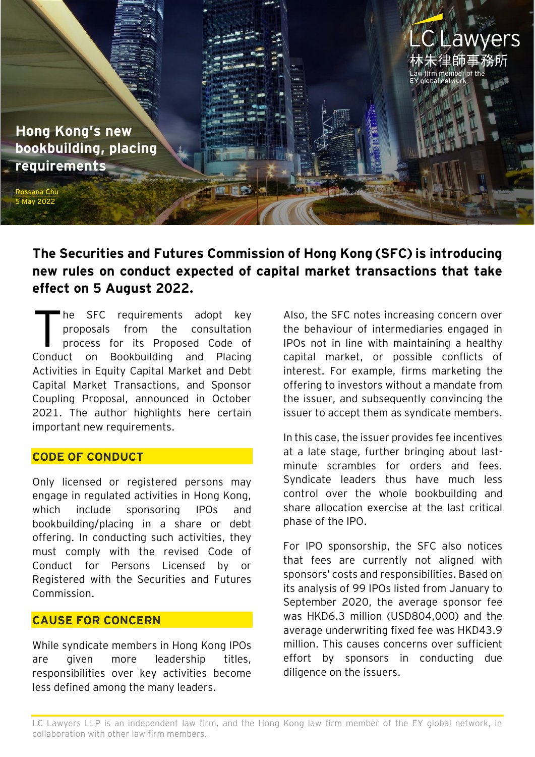

# **The Securities and Futures Commission of Hong Kong (SFC) is introducing new rules on conduct expected of capital market transactions that take effect on 5 August 2022.**

he SFC requirements adopt key proposals from the consultation process for its Proposed Code of Conduct on Bookbuilding and Placing Activities in Equity Capital Market and Debt Capital Market Transactions, and Sponsor Coupling Proposal, announced in October 2021. The author highlights here certain important new requirements. T

## **CODE OF CONDUCT**

Only licensed or registered persons may engage in regulated activities in Hong Kong, which include sponsoring IPOs and bookbuilding/placing in a share or debt offering. In conducting such activities, they must comply with the revised Code of Conduct for Persons Licensed by or Registered with the Securities and Futures Commission.

## **CAUSE FOR CONCERN**

While syndicate members in Hong Kong IPOs are given more leadership titles, responsibilities over key activities become less defined among the many leaders.

Also, the SFC notes increasing concern over the behaviour of intermediaries engaged in IPOs not in line with maintaining a healthy capital market, or possible conflicts of interest. For example, firms marketing the offering to investors without a mandate from the issuer, and subsequently convincing the issuer to accept them as syndicate members.

In this case, the issuer provides fee incentives at a late stage, further bringing about lastminute scrambles for orders and fees. Syndicate leaders thus have much less control over the whole bookbuilding and share allocation exercise at the last critical phase of the IPO.

For IPO sponsorship, the SFC also notices that fees are currently not aligned with sponsors' costs and responsibilities. Based on its analysis of 99 IPOs listed from January to September 2020, the average sponsor fee was HKD6.3 million (USD804,000) and the average underwriting fixed fee was HKD43.9 million. This causes concerns over sufficient effort by sponsors in conducting due diligence on the issuers.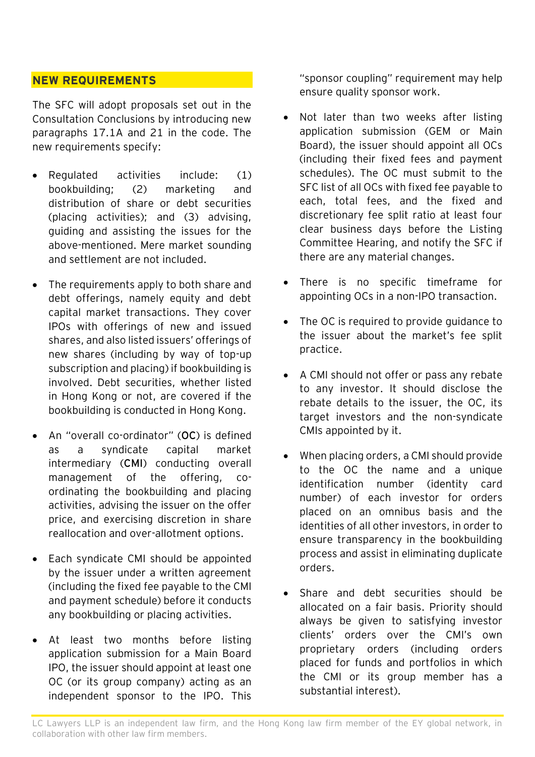# **NEW REQUIREMENTS**

The SFC will adopt proposals set out in the Consultation Conclusions by introducing new paragraphs 17.1A and 21 in the code. The new requirements specify:

- Regulated activities include: (1) bookbuilding; (2) marketing and distribution of share or debt securities (placing activities); and (3) advising, guiding and assisting the issues for the above-mentioned. Mere market sounding and settlement are not included.
- The requirements apply to both share and debt offerings, namely equity and debt capital market transactions. They cover IPOs with offerings of new and issued shares, and also listed issuers' offerings of new shares (including by way of top-up subscription and placing) if bookbuilding is involved. Debt securities, whether listed in Hong Kong or not, are covered if the bookbuilding is conducted in Hong Kong.
- An "overall co-ordinator" (**OC**) is defined as a syndicate capital market intermediary (**CMI**) conducting overall management of the offering, coordinating the bookbuilding and placing activities, advising the issuer on the offer price, and exercising discretion in share reallocation and over-allotment options.
- Each syndicate CMI should be appointed by the issuer under a written agreement (including the fixed fee payable to the CMI and payment schedule) before it conducts any bookbuilding or placing activities.
- At least two months before listing application submission for a Main Board IPO, the issuer should appoint at least one OC (or its group company) acting as an independent sponsor to the IPO. This

"sponsor coupling" requirement may help ensure quality sponsor work.

- Not later than two weeks after listing application submission (GEM or Main Board), the issuer should appoint all OCs (including their fixed fees and payment schedules). The OC must submit to the SFC list of all OCs with fixed fee payable to each, total fees, and the fixed and discretionary fee split ratio at least four clear business days before the Listing Committee Hearing, and notify the SFC if there are any material changes.
- There is no specific timeframe for appointing OCs in a non-IPO transaction.
- The OC is required to provide guidance to the issuer about the market's fee split practice.
- A CMI should not offer or pass any rebate to any investor. It should disclose the rebate details to the issuer, the OC, its target investors and the non-syndicate CMIs appointed by it.
- When placing orders, a CMI should provide to the OC the name and a unique identification number (identity card number) of each investor for orders placed on an omnibus basis and the identities of all other investors, in order to ensure transparency in the bookbuilding process and assist in eliminating duplicate orders.
- Share and debt securities should be allocated on a fair basis. Priority should always be given to satisfying investor clients' orders over the CMI's own proprietary orders (including orders placed for funds and portfolios in which the CMI or its group member has a substantial interest).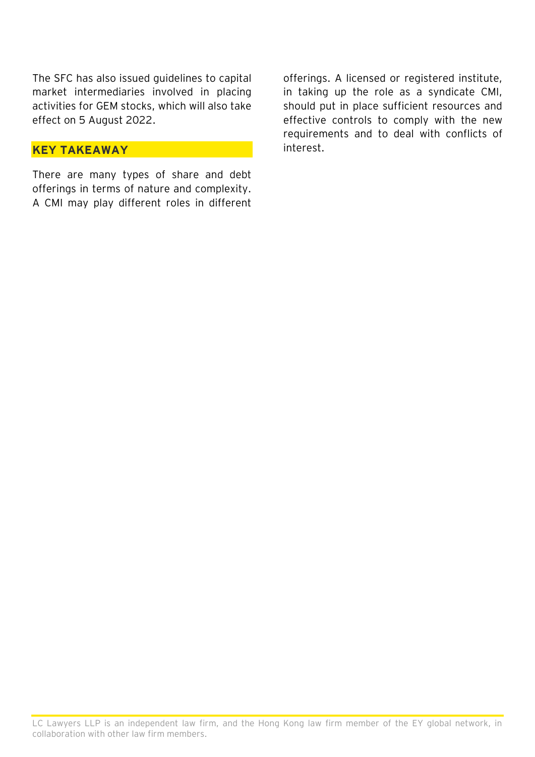The SFC has also issued guidelines to capital market intermediaries involved in placing activities for GEM stocks, which will also take effect on 5 August 2022.

#### **KEY TAKEAWAY**

There are many types of share and debt offerings in terms of nature and complexity. A CMI may play different roles in different offerings. A licensed or registered institute, in taking up the role as a syndicate CMI, should put in place sufficient resources and effective controls to comply with the new requirements and to deal with conflicts of interest.

LC Lawyers LLP is an independent law firm, and the Hong Kong law firm member of the EY global network, in collaboration with other law firm members.